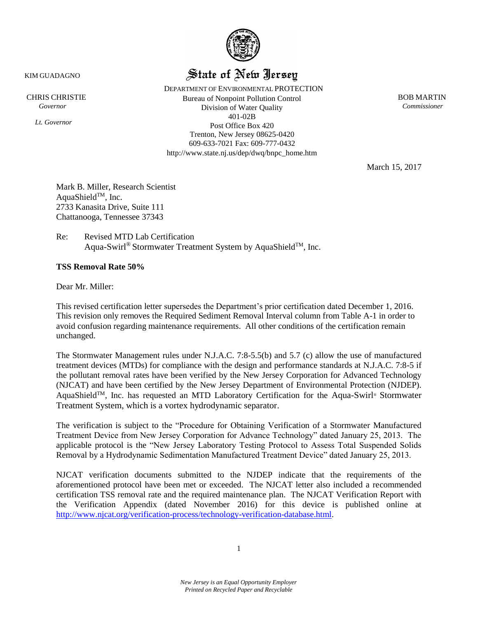

## State of New Jersey

 DEPARTMENT OF ENVIRONMENTAL PROTECTION CHRIS CHRISTIE BOB MARTIN  *Governor Commissioner*  Division of Water Quality 401-02B Post Office Box 420 Trenton, New Jersey 08625-0420 609-633-7021 Fax: 609-777-0432 http://www.state.nj.us/dep/dwq/bnpc\_home.htm

March 15, 2017

Mark B. Miller, Research Scientist AquaShield™, Inc. 2733 Kanasita Drive, Suite 111 Chattanooga, Tennessee 37343

Re: Revised MTD Lab Certification Aqua-Swirl<sup>®</sup> Stormwater Treatment System by AquaShield<sup>™</sup>, Inc.

#### **TSS Removal Rate 50%**

Dear Mr. Miller:

This revised certification letter supersedes the Department's prior certification dated December 1, 2016. This revision only removes the Required Sediment Removal Interval column from Table A-1 in order to avoid confusion regarding maintenance requirements. All other conditions of the certification remain unchanged.

The Stormwater Management rules under N.J.A.C. 7:8-5.5(b) and 5.7 (c) allow the use of manufactured treatment devices (MTDs) for compliance with the design and performance standards at N.J.A.C. 7:8-5 if the pollutant removal rates have been verified by the New Jersey Corporation for Advanced Technology (NJCAT) and have been certified by the New Jersey Department of Environmental Protection (NJDEP). AquaShield™, Inc. has requested an MTD Laboratory Certification for the Aqua-Swirl® Stormwater Treatment System, which is a vortex hydrodynamic separator.

The verification is subject to the "Procedure for Obtaining Verification of a Stormwater Manufactured Treatment Device from New Jersey Corporation for Advance Technology" dated January 25, 2013. The applicable protocol is the "New Jersey Laboratory Testing Protocol to Assess Total Suspended Solids Removal by a Hydrodynamic Sedimentation Manufactured Treatment Device" dated January 25, 2013.

NJCAT verification documents submitted to the NJDEP indicate that the requirements of the aforementioned protocol have been met or exceeded. The NJCAT letter also included a recommended certification TSS removal rate and the required maintenance plan. The NJCAT Verification Report with the Verification Appendix (dated November 2016) for this device is published online at [http://www.njcat.org/verification-process/technology-verification-database.html.](http://www.njcat.org/verification-process/technology-verification-database.html)

KIM GUADAGNO

*Lt. Governor*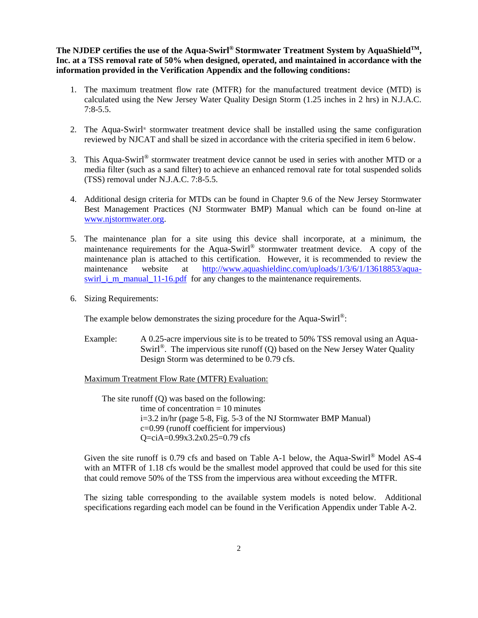**The NJDEP certifies the use of the Aqua-Swirl® Stormwater Treatment System by AquaShieldTM, Inc. at a TSS removal rate of 50% when designed, operated, and maintained in accordance with the information provided in the Verification Appendix and the following conditions:**

- 1. The maximum treatment flow rate (MTFR) for the manufactured treatment device (MTD) is calculated using the New Jersey Water Quality Design Storm (1.25 inches in 2 hrs) in N.J.A.C. 7:8-5.5.
- 2. The Aqua-Swirl® stormwater treatment device shall be installed using the same configuration reviewed by NJCAT and shall be sized in accordance with the criteria specified in item 6 below.
- 3. This Aqua-Swirl<sup>®</sup> stormwater treatment device cannot be used in series with another MTD or a media filter (such as a sand filter) to achieve an enhanced removal rate for total suspended solids (TSS) removal under N.J.A.C. 7:8-5.5.
- 4. Additional design criteria for MTDs can be found in Chapter 9.6 of the New Jersey Stormwater Best Management Practices (NJ Stormwater BMP) Manual which can be found on-line at [www.njstormwater.org.](http://www.njstormwater.org/)
- 5. The maintenance plan for a site using this device shall incorporate, at a minimum, the maintenance requirements for the Aqua-Swirl® stormwater treatment device. A copy of the maintenance plan is attached to this certification. However, it is recommended to review the maintenance website at [http://www.aquashieldinc.com/uploads/1/3/6/1/13618853/aqua](http://www.aquashieldinc.com/uploads/1/3/6/1/13618853/aqua-swirl_i_m_manual_11-16.pdf)[swirl\\_i\\_m\\_manual\\_11-16.pdf](http://www.aquashieldinc.com/uploads/1/3/6/1/13618853/aqua-swirl_i_m_manual_11-16.pdf) for any changes to the maintenance requirements.
- 6. Sizing Requirements:

The example below demonstrates the sizing procedure for the Aqua-Swirl®:

Example: A 0.25-acre impervious site is to be treated to 50% TSS removal using an Aqua-Swirl<sup>®</sup>. The impervious site runoff (Q) based on the New Jersey Water Quality Design Storm was determined to be 0.79 cfs.

Maximum Treatment Flow Rate (MTFR) Evaluation:

The site runoff (Q) was based on the following: time of concentration = 10 minutes i=3.2 in/hr (page 5-8, Fig. 5-3 of the NJ Stormwater BMP Manual) c=0.99 (runoff coefficient for impervious) Q=ciA=0.99x3.2x0.25=0.79 cfs

Given the site runoff is 0.79 cfs and based on Table A-1 below, the Aqua-Swirl<sup>®</sup> Model AS-4 with an MTFR of 1.18 cfs would be the smallest model approved that could be used for this site that could remove 50% of the TSS from the impervious area without exceeding the MTFR.

The sizing table corresponding to the available system models is noted below. Additional specifications regarding each model can be found in the Verification Appendix under Table A-2.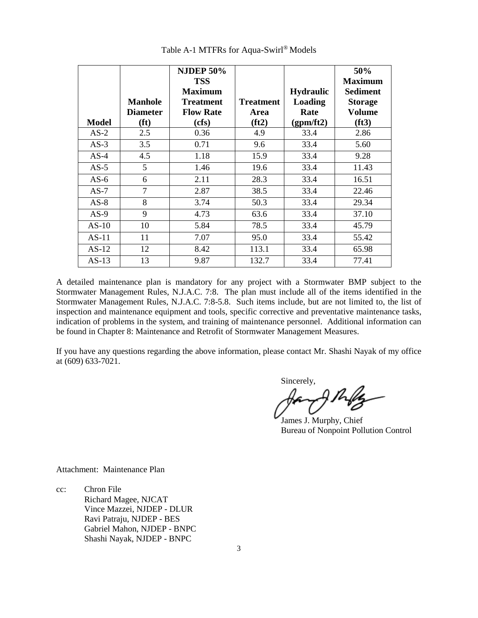|              |                   | <b>NJDEP 50%</b> |                  |                  | 50%            |
|--------------|-------------------|------------------|------------------|------------------|----------------|
|              |                   | <b>TSS</b>       |                  |                  | <b>Maximum</b> |
|              |                   | <b>Maximum</b>   |                  | <b>Hydraulic</b> | Sediment       |
|              | <b>Manhole</b>    | <b>Treatment</b> | <b>Treatment</b> | <b>Loading</b>   | <b>Storage</b> |
|              | <b>Diameter</b>   | <b>Flow Rate</b> | Area             | Rate             | <b>Volume</b>  |
| <b>Model</b> | (f <sup>t</sup> ) | (cfs)            | (ft2)            | (gpm/ft2)        | (ft3)          |
| $AS-2$       | 2.5               | 0.36             | 4.9              | 33.4             | 2.86           |
| $AS-3$       | 3.5               | 0.71             | 9.6              | 33.4             | 5.60           |
| $AS-4$       | 4.5               | 1.18             | 15.9             | 33.4             | 9.28           |
| $AS-5$       | 5                 | 1.46             | 19.6             | 33.4             | 11.43          |
| $AS-6$       | 6                 | 2.11             | 28.3             | 33.4             | 16.51          |
| $AS-7$       | 7                 | 2.87             | 38.5             | 33.4             | 22.46          |
| $AS-8$       | 8                 | 3.74             | 50.3             | 33.4             | 29.34          |
| $AS-9$       | 9                 | 4.73             | 63.6             | 33.4             | 37.10          |
| $AS-10$      | 10                | 5.84             | 78.5             | 33.4             | 45.79          |
| $AS-11$      | 11                | 7.07             | 95.0             | 33.4             | 55.42          |
| $AS-12$      | 12                | 8.42             | 113.1            | 33.4             | 65.98          |
| $AS-13$      | 13                | 9.87             | 132.7            | 33.4             | 77.41          |

Table A-1 MTFRs for Aqua-Swirl® Models

A detailed maintenance plan is mandatory for any project with a Stormwater BMP subject to the Stormwater Management Rules, N.J.A.C. 7:8. The plan must include all of the items identified in the Stormwater Management Rules, N.J.A.C. 7:8-5.8. Such items include, but are not limited to, the list of inspection and maintenance equipment and tools, specific corrective and preventative maintenance tasks, indication of problems in the system, and training of maintenance personnel. Additional information can be found in Chapter 8: Maintenance and Retrofit of Stormwater Management Measures.

If you have any questions regarding the above information, please contact Mr. Shashi Nayak of my office at (609) 633-7021.

Sincerely,

James J. Murphy, Chief Bureau of Nonpoint Pollution Control

Attachment: Maintenance Plan

cc: Chron File Richard Magee, NJCAT Vince Mazzei, NJDEP - DLUR Ravi Patraju, NJDEP - BES Gabriel Mahon, NJDEP - BNPC Shashi Nayak, NJDEP - BNPC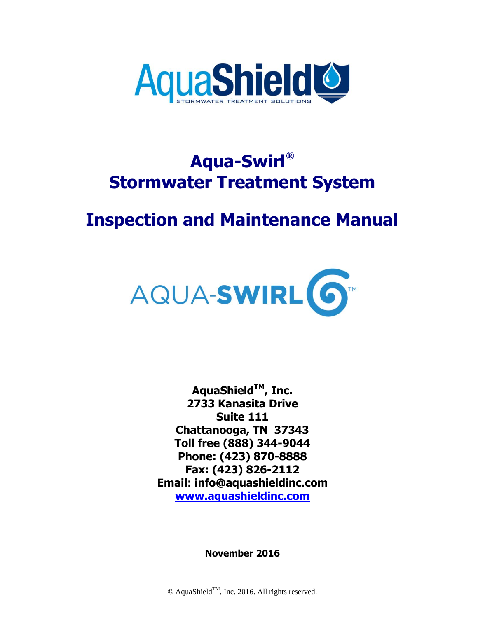

# **Aqua-Swirl® Stormwater Treatment System**

# **Inspection and Maintenance Manual**



**AquaShieldTM, Inc. 2733 Kanasita Drive Suite 111 Chattanooga, TN 37343 Toll free (888) 344-9044 Phone: (423) 870-8888 Fax: (423) 826-2112 Email: info@aquashieldinc.com [www.aquashieldinc.com](http://www.aquashieldinc.com/)**

**November 2016**

 $\odot$  AquaShield<sup>TM</sup>, Inc. 2016. All rights reserved.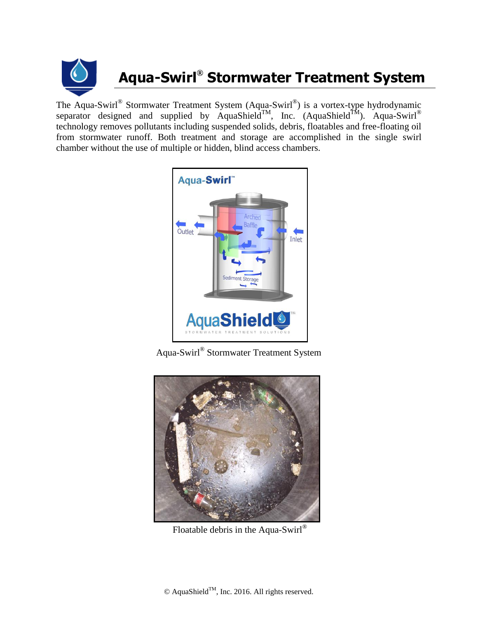

# **Aqua-Swirl® Stormwater Treatment System**

The Aqua-Swirl® Stormwater Treatment System (Aqua-Swirl®) is a vortex-type hydrodynamic separator designed and supplied by AquaShield<sup>TM</sup>, Inc. (AquaShield<sup>TM</sup>). Aqua-Swirl<sup>®</sup> technology removes pollutants including suspended solids, debris, floatables and free-floating oil from stormwater runoff. Both treatment and storage are accomplished in the single swirl chamber without the use of multiple or hidden, blind access chambers.



Aqua-Swirl® Stormwater Treatment System



Floatable debris in the Aqua-Swirl®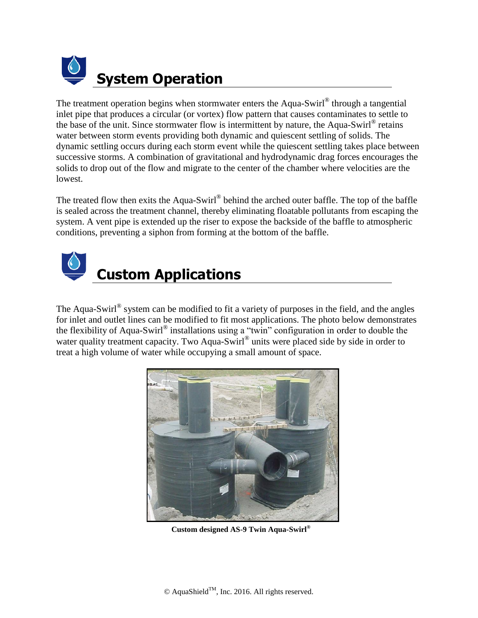

The treatment operation begins when stormwater enters the Aqua-Swirl® through a tangential inlet pipe that produces a circular (or vortex) flow pattern that causes contaminates to settle to the base of the unit. Since stormwater flow is intermittent by nature, the Aqua-Swirl® retains water between storm events providing both dynamic and quiescent settling of solids. The dynamic settling occurs during each storm event while the quiescent settling takes place between successive storms. A combination of gravitational and hydrodynamic drag forces encourages the solids to drop out of the flow and migrate to the center of the chamber where velocities are the lowest.

The treated flow then exits the Aqua-Swirl® behind the arched outer baffle. The top of the baffle is sealed across the treatment channel, thereby eliminating floatable pollutants from escaping the system. A vent pipe is extended up the riser to expose the backside of the baffle to atmospheric conditions, preventing a siphon from forming at the bottom of the baffle.



The Aqua-Swirl<sup>®</sup> system can be modified to fit a variety of purposes in the field, and the angles for inlet and outlet lines can be modified to fit most applications. The photo below demonstrates the flexibility of Aqua-Swirl® installations using a "twin" configuration in order to double the water quality treatment capacity. Two Aqua-Swirl® units were placed side by side in order to treat a high volume of water while occupying a small amount of space.



**Custom designed AS-9 Twin Aqua-Swirl®**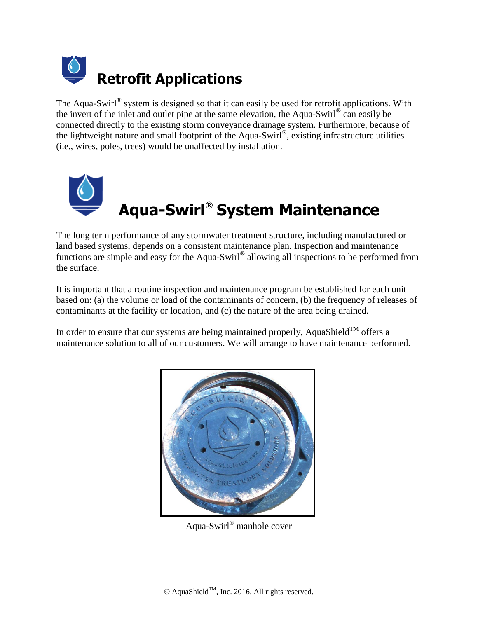

The Aqua-Swirl<sup>®</sup> system is designed so that it can easily be used for retrofit applications. With the invert of the inlet and outlet pipe at the same elevation, the Aqua-Swirl<sup>®</sup> can easily be connected directly to the existing storm conveyance drainage system. Furthermore, because of the lightweight nature and small footprint of the Aqua-Swirl® *,* existing infrastructure utilities (i.e., wires, poles, trees) would be unaffected by installation.



The long term performance of any stormwater treatment structure, including manufactured or land based systems, depends on a consistent maintenance plan. Inspection and maintenance functions are simple and easy for the Aqua-Swirl® allowing all inspections to be performed from the surface.

It is important that a routine inspection and maintenance program be established for each unit based on: (a) the volume or load of the contaminants of concern, (b) the frequency of releases of contaminants at the facility or location, and (c) the nature of the area being drained.

In order to ensure that our systems are being maintained properly, AquaShield<sup>TM</sup> offers a maintenance solution to all of our customers. We will arrange to have maintenance performed.



Aqua-Swirl® manhole cover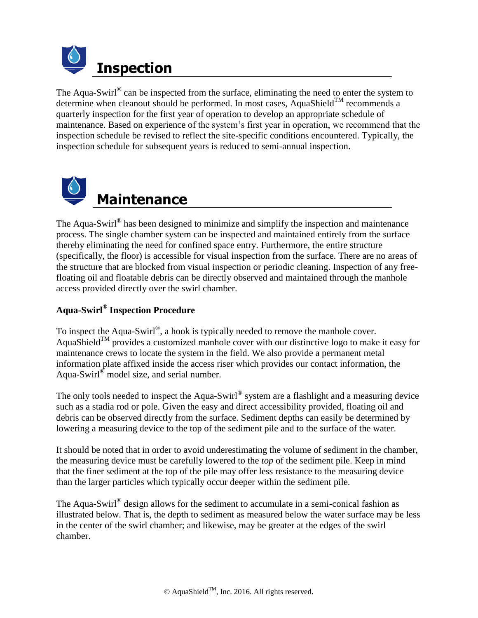

The Aqua-Swirl<sup>®</sup> can be inspected from the surface, eliminating the need to enter the system to determine when cleanout should be performed. In most cases, AquaShield<sup>TM</sup> recommends a quarterly inspection for the first year of operation to develop an appropriate schedule of maintenance. Based on experience of the system's first year in operation, we recommend that the inspection schedule be revised to reflect the site-specific conditions encountered. Typically, the inspection schedule for subsequent years is reduced to semi-annual inspection.



The Aqua-Swirl $^{\circ}$  has been designed to minimize and simplify the inspection and maintenance process. The single chamber system can be inspected and maintained entirely from the surface thereby eliminating the need for confined space entry. Furthermore, the entire structure (specifically, the floor) is accessible for visual inspection from the surface. There are no areas of the structure that are blocked from visual inspection or periodic cleaning. Inspection of any freefloating oil and floatable debris can be directly observed and maintained through the manhole access provided directly over the swirl chamber.

### **Aqua-Swirl® Inspection Procedure**

To inspect the Aqua-Swirl<sup>®</sup>, a hook is typically needed to remove the manhole cover. AquaShield<sup>TM</sup> provides a customized manhole cover with our distinctive logo to make it easy for maintenance crews to locate the system in the field. We also provide a permanent metal information plate affixed inside the access riser which provides our contact information, the Aqua-Swirl<sup>®</sup> model size, and serial number.

The only tools needed to inspect the Aqua-Swirl $^{\circ}$  system are a flashlight and a measuring device such as a stadia rod or pole. Given the easy and direct accessibility provided, floating oil and debris can be observed directly from the surface. Sediment depths can easily be determined by lowering a measuring device to the top of the sediment pile and to the surface of the water.

It should be noted that in order to avoid underestimating the volume of sediment in the chamber, the measuring device must be carefully lowered to the *top* of the sediment pile. Keep in mind that the finer sediment at the top of the pile may offer less resistance to the measuring device than the larger particles which typically occur deeper within the sediment pile.

The Aqua-Swirl $^{\circ}$  design allows for the sediment to accumulate in a semi-conical fashion as illustrated below. That is, the depth to sediment as measured below the water surface may be less in the center of the swirl chamber; and likewise, may be greater at the edges of the swirl chamber.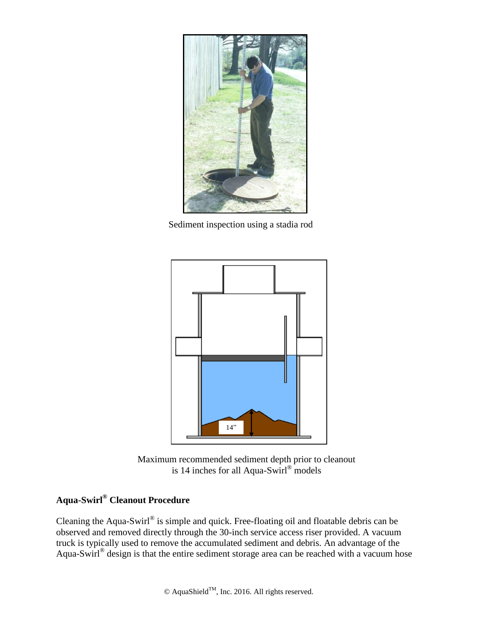

Sediment inspection using a stadia rod



Maximum recommended sediment depth prior to cleanout is 14 inches for all Aqua-Swirl® models

## **Aqua-Swirl® Cleanout Procedure**

Cleaning the Aqua-Swirl<sup>®</sup> is simple and quick. Free-floating oil and floatable debris can be observed and removed directly through the 30-inch service access riser provided. A vacuum truck is typically used to remove the accumulated sediment and debris. An advantage of the Aqua-Swirl<sup>®</sup> design is that the entire sediment storage area can be reached with a vacuum hose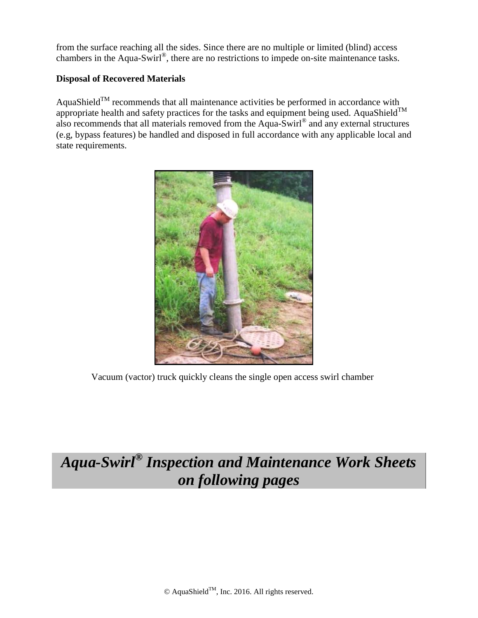from the surface reaching all the sides. Since there are no multiple or limited (blind) access chambers in the Aqua-Swirl®, there are no restrictions to impede on-site maintenance tasks.

#### **Disposal of Recovered Materials**

AquaShield<sup>TM</sup> recommends that all maintenance activities be performed in accordance with appropriate health and safety practices for the tasks and equipment being used. AquaShield<sup>TM</sup> also recommends that all materials removed from the Aqua-Swirl<sup>®</sup> and any external structures (e.g, bypass features) be handled and disposed in full accordance with any applicable local and state requirements.



Vacuum (vactor) truck quickly cleans the single open access swirl chamber

# *Aqua-Swirl® Inspection and Maintenance Work Sheets on following pages*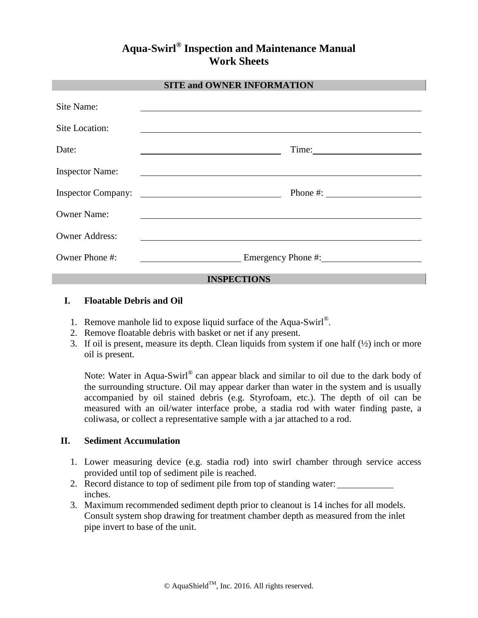### **Aqua-Swirl® Inspection and Maintenance Manual Work Sheets**

#### **SITE and OWNER INFORMATION**

| Site Name:                |                                                                                     |
|---------------------------|-------------------------------------------------------------------------------------|
| Site Location:            |                                                                                     |
| Date:                     | Time:                                                                               |
| <b>Inspector Name:</b>    |                                                                                     |
| <b>Inspector Company:</b> | Phone #: $\qquad \qquad$<br><u> 1980 - Johann Barnett, fransk politik (d. 1980)</u> |
| <b>Owner Name:</b>        |                                                                                     |
| <b>Owner Address:</b>     |                                                                                     |
| Owner Phone #:            | Emergency Phone #:                                                                  |

#### **INSPECTIONS**

#### **I. Floatable Debris and Oil**

- 1. Remove manhole lid to expose liquid surface of the Aqua-Swirl®.
- 2. Remove floatable debris with basket or net if any present.
- 3. If oil is present, measure its depth. Clean liquids from system if one half  $(\frac{1}{2})$  inch or more oil is present.

Note: Water in Aqua-Swirl® can appear black and similar to oil due to the dark body of the surrounding structure. Oil may appear darker than water in the system and is usually accompanied by oil stained debris (e.g. Styrofoam, etc.). The depth of oil can be measured with an oil/water interface probe, a stadia rod with water finding paste, a coliwasa, or collect a representative sample with a jar attached to a rod.

#### **II. Sediment Accumulation**

- 1. Lower measuring device (e.g. stadia rod) into swirl chamber through service access provided until top of sediment pile is reached.
- 2. Record distance to top of sediment pile from top of standing water: inches.
- 3. Maximum recommended sediment depth prior to cleanout is 14 inches for all models. Consult system shop drawing for treatment chamber depth as measured from the inlet pipe invert to base of the unit.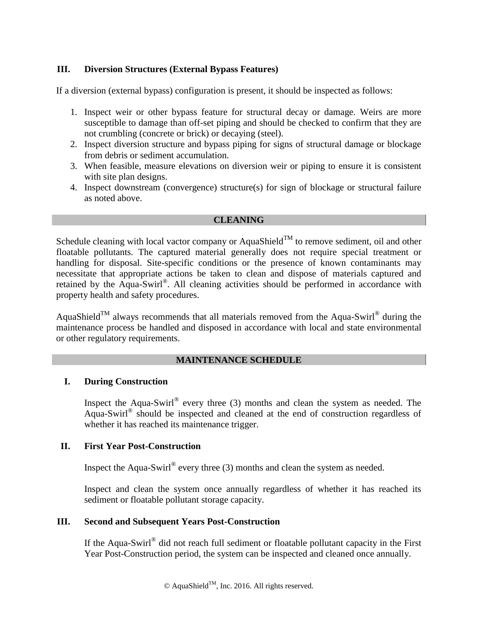#### **III. Diversion Structures (External Bypass Features)**

If a diversion (external bypass) configuration is present, it should be inspected as follows:

- 1. Inspect weir or other bypass feature for structural decay or damage. Weirs are more susceptible to damage than off-set piping and should be checked to confirm that they are not crumbling (concrete or brick) or decaying (steel).
- 2. Inspect diversion structure and bypass piping for signs of structural damage or blockage from debris or sediment accumulation.
- 3. When feasible, measure elevations on diversion weir or piping to ensure it is consistent with site plan designs.
- 4. Inspect downstream (convergence) structure(s) for sign of blockage or structural failure as noted above.

#### **CLEANING**

Schedule cleaning with local vactor company or AquaShield<sup>TM</sup> to remove sediment, oil and other floatable pollutants. The captured material generally does not require special treatment or handling for disposal. Site-specific conditions or the presence of known contaminants may necessitate that appropriate actions be taken to clean and dispose of materials captured and retained by the Aqua-Swirl®. All cleaning activities should be performed in accordance with property health and safety procedures.

AquaShield<sup>TM</sup> always recommends that all materials removed from the Aqua-Swirl® during the maintenance process be handled and disposed in accordance with local and state environmental or other regulatory requirements.

#### **MAINTENANCE SCHEDULE**

#### **I. During Construction**

Inspect the Aqua-Swirl<sup>®</sup> every three  $(3)$  months and clean the system as needed. The Aqua-Swirl® should be inspected and cleaned at the end of construction regardless of whether it has reached its maintenance trigger.

#### **II. First Year Post-Construction**

Inspect the Aqua-Swirl<sup>®</sup> every three (3) months and clean the system as needed.

Inspect and clean the system once annually regardless of whether it has reached its sediment or floatable pollutant storage capacity.

#### **III. Second and Subsequent Years Post-Construction**

If the Aqua-Swirl<sup>®</sup> did not reach full sediment or floatable pollutant capacity in the First Year Post-Construction period, the system can be inspected and cleaned once annually.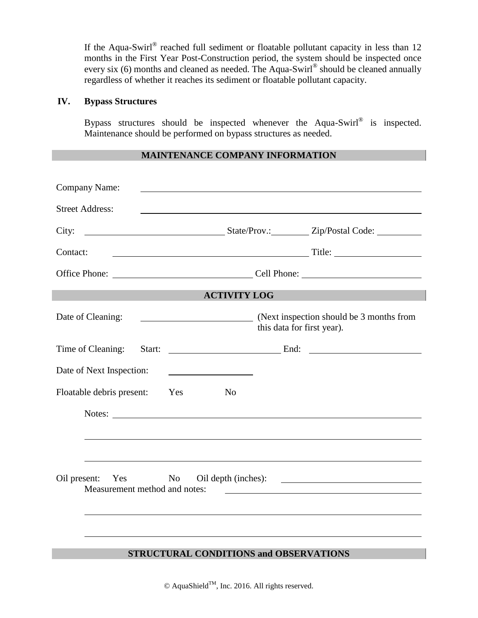If the Aqua-Swirl® reached full sediment or floatable pollutant capacity in less than  $12$ months in the First Year Post-Construction period, the system should be inspected once every six (6) months and cleaned as needed. The Aqua-Swirl<sup>®</sup> should be cleaned annually regardless of whether it reaches its sediment or floatable pollutant capacity.

#### **IV. Bypass Structures**

Bypass structures should be inspected whenever the Aqua-Swirl® is inspected. Maintenance should be performed on bypass structures as needed.

#### **MAINTENANCE COMPANY INFORMATION**

| Company Name:                                        |                                               |                            |                                          |
|------------------------------------------------------|-----------------------------------------------|----------------------------|------------------------------------------|
| <b>Street Address:</b>                               |                                               |                            |                                          |
| City:                                                |                                               |                            | State/Prov.: Zip/Postal Code:            |
| Contact:                                             |                                               |                            |                                          |
|                                                      |                                               |                            |                                          |
|                                                      | <b>ACTIVITY LOG</b>                           |                            |                                          |
| Date of Cleaning:                                    |                                               | this data for first year). | (Next inspection should be 3 months from |
| Time of Cleaning:<br>Start:                          |                                               |                            |                                          |
| Date of Next Inspection:                             |                                               |                            |                                          |
| Floatable debris present:                            | Yes<br>N <sub>0</sub>                         |                            |                                          |
|                                                      | Notes:                                        |                            |                                          |
|                                                      |                                               |                            |                                          |
|                                                      |                                               |                            |                                          |
| Oil present: Yes No<br>Measurement method and notes: |                                               |                            | Oil depth (inches):                      |
|                                                      |                                               |                            |                                          |
|                                                      | <b>STRUCTURAL CONDITIONS and OBSERVATIONS</b> |                            |                                          |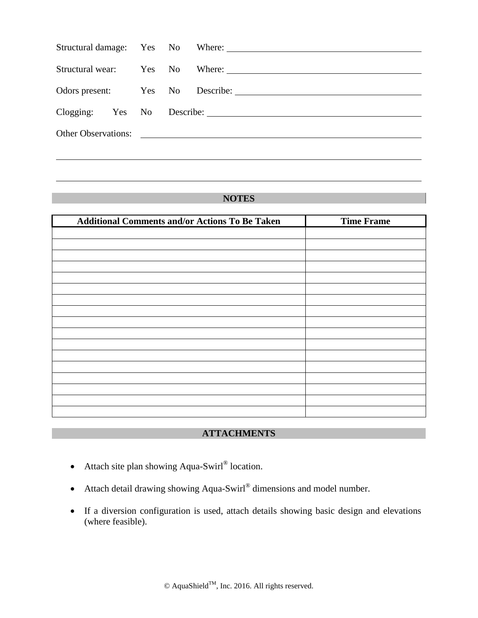|  |  |                                                                                                                                                                                                                               | Structural wear: Yes No Where: 1988 Mo Where 2020 |
|--|--|-------------------------------------------------------------------------------------------------------------------------------------------------------------------------------------------------------------------------------|---------------------------------------------------|
|  |  |                                                                                                                                                                                                                               | Odors present: Yes No Describe: 1988              |
|  |  | Clogging: Yes No Describe: 1983. Manual Manual Manual Manual Manual Manual Manual Manual Manual Manual Manual Manual Manual Manual Manual Manual Manual Manual Manual Manual Manual Manual Manual Manual Manual Manual Manual |                                                   |
|  |  |                                                                                                                                                                                                                               | Other Observations:                               |
|  |  |                                                                                                                                                                                                                               |                                                   |

#### **NOTES**

| <b>Additional Comments and/or Actions To Be Taken</b> | <b>Time Frame</b> |
|-------------------------------------------------------|-------------------|
|                                                       |                   |
|                                                       |                   |
|                                                       |                   |
|                                                       |                   |
|                                                       |                   |
|                                                       |                   |
|                                                       |                   |
|                                                       |                   |
|                                                       |                   |
|                                                       |                   |
|                                                       |                   |
|                                                       |                   |
|                                                       |                   |
|                                                       |                   |
|                                                       |                   |
|                                                       |                   |
|                                                       |                   |

### **ATTACHMENTS**

- Attach site plan showing Aqua-Swirl® location.
- Attach detail drawing showing Aqua-Swirl<sup>®</sup> dimensions and model number.
- If a diversion configuration is used, attach details showing basic design and elevations (where feasible).